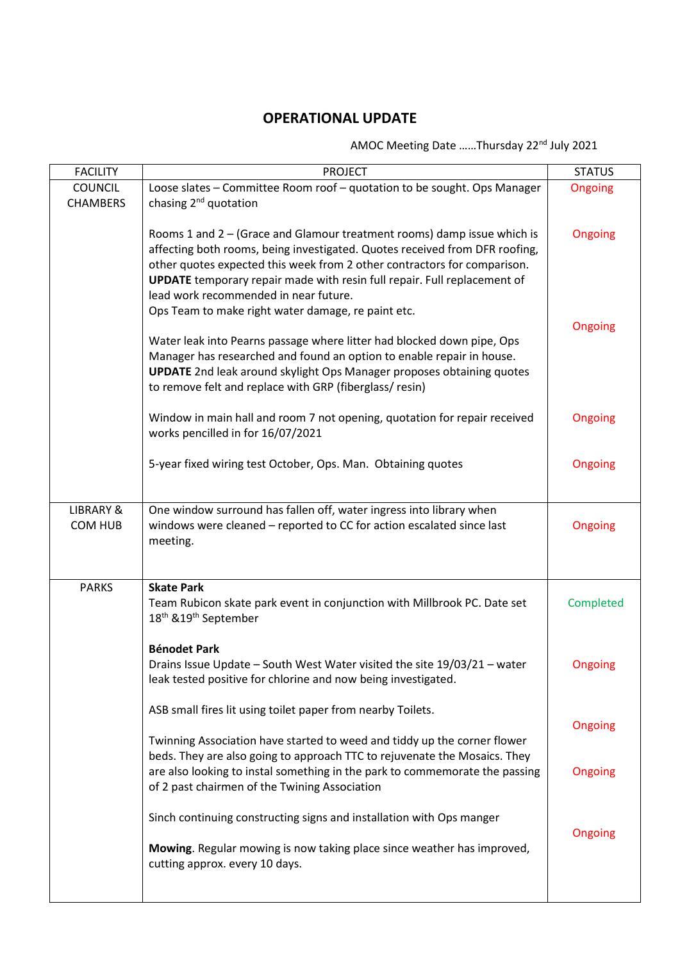## **OPERATIONAL UPDATE**

## AMOC Meeting Date ......Thursday 22<sup>nd</sup> July 2021

| <b>FACILITY</b>      | <b>PROJECT</b>                                                               | <b>STATUS</b> |
|----------------------|------------------------------------------------------------------------------|---------------|
| <b>COUNCIL</b>       | Loose slates - Committee Room roof - quotation to be sought. Ops Manager     | Ongoing       |
| <b>CHAMBERS</b>      | chasing 2 <sup>nd</sup> quotation                                            |               |
|                      |                                                                              |               |
|                      | Rooms 1 and $2 -$ (Grace and Glamour treatment rooms) damp issue which is    | Ongoing       |
|                      | affecting both rooms, being investigated. Quotes received from DFR roofing,  |               |
|                      | other quotes expected this week from 2 other contractors for comparison.     |               |
|                      |                                                                              |               |
|                      | UPDATE temporary repair made with resin full repair. Full replacement of     |               |
|                      | lead work recommended in near future.                                        |               |
|                      | Ops Team to make right water damage, re paint etc.                           |               |
|                      |                                                                              | Ongoing       |
|                      | Water leak into Pearns passage where litter had blocked down pipe, Ops       |               |
|                      | Manager has researched and found an option to enable repair in house.        |               |
|                      | <b>UPDATE</b> 2nd leak around skylight Ops Manager proposes obtaining quotes |               |
|                      | to remove felt and replace with GRP (fiberglass/resin)                       |               |
|                      |                                                                              |               |
|                      | Window in main hall and room 7 not opening, quotation for repair received    | Ongoing       |
|                      | works pencilled in for 16/07/2021                                            |               |
|                      |                                                                              |               |
|                      | 5-year fixed wiring test October, Ops. Man. Obtaining quotes                 | Ongoing       |
|                      |                                                                              |               |
|                      |                                                                              |               |
| <b>LIBRARY &amp;</b> | One window surround has fallen off, water ingress into library when          |               |
|                      |                                                                              |               |
| COM HUB              | windows were cleaned - reported to CC for action escalated since last        | Ongoing       |
|                      | meeting.                                                                     |               |
|                      |                                                                              |               |
|                      |                                                                              |               |
| <b>PARKS</b>         | <b>Skate Park</b>                                                            |               |
|                      | Team Rubicon skate park event in conjunction with Millbrook PC. Date set     | Completed     |
|                      | 18 <sup>th</sup> & 19 <sup>th</sup> September                                |               |
|                      |                                                                              |               |
|                      | <b>Bénodet Park</b>                                                          |               |
|                      | Drains Issue Update - South West Water visited the site 19/03/21 - water     | Ongoing       |
|                      | leak tested positive for chlorine and now being investigated.                |               |
|                      |                                                                              |               |
|                      | ASB small fires lit using toilet paper from nearby Toilets.                  |               |
|                      |                                                                              | Ongoing       |
|                      | Twinning Association have started to weed and tiddy up the corner flower     |               |
|                      | beds. They are also going to approach TTC to rejuvenate the Mosaics. They    |               |
|                      | are also looking to instal something in the park to commemorate the passing  | Ongoing       |
|                      | of 2 past chairmen of the Twining Association                                |               |
|                      |                                                                              |               |
|                      |                                                                              |               |
|                      | Sinch continuing constructing signs and installation with Ops manger         |               |
|                      |                                                                              | Ongoing       |
|                      | Mowing. Regular mowing is now taking place since weather has improved,       |               |
|                      | cutting approx. every 10 days.                                               |               |
|                      |                                                                              |               |
|                      |                                                                              |               |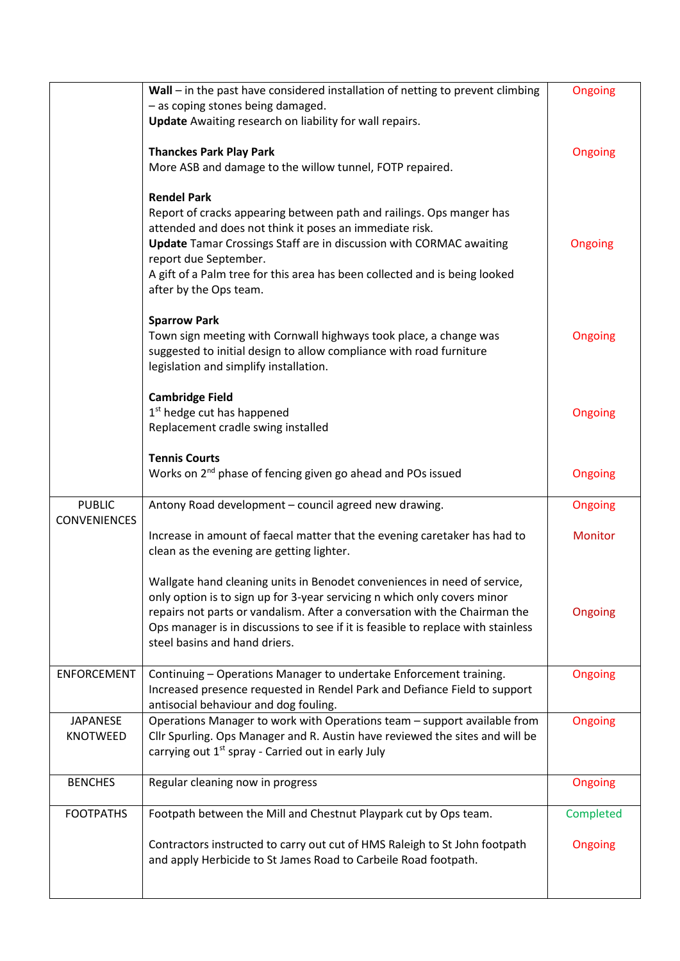|                     | Wall - in the past have considered installation of netting to prevent climbing                                                        | Ongoing   |
|---------------------|---------------------------------------------------------------------------------------------------------------------------------------|-----------|
|                     | - as coping stones being damaged.<br><b>Update</b> Awaiting research on liability for wall repairs.                                   |           |
|                     |                                                                                                                                       |           |
|                     | <b>Thanckes Park Play Park</b>                                                                                                        | Ongoing   |
|                     | More ASB and damage to the willow tunnel, FOTP repaired.                                                                              |           |
|                     | <b>Rendel Park</b>                                                                                                                    |           |
|                     | Report of cracks appearing between path and railings. Ops manger has                                                                  |           |
|                     | attended and does not think it poses an immediate risk.<br><b>Update</b> Tamar Crossings Staff are in discussion with CORMAC awaiting | Ongoing   |
|                     | report due September.                                                                                                                 |           |
|                     | A gift of a Palm tree for this area has been collected and is being looked                                                            |           |
|                     | after by the Ops team.                                                                                                                |           |
|                     | <b>Sparrow Park</b>                                                                                                                   |           |
|                     | Town sign meeting with Cornwall highways took place, a change was                                                                     | Ongoing   |
|                     | suggested to initial design to allow compliance with road furniture                                                                   |           |
|                     | legislation and simplify installation.                                                                                                |           |
|                     | <b>Cambridge Field</b>                                                                                                                |           |
|                     | 1 <sup>st</sup> hedge cut has happened                                                                                                | Ongoing   |
|                     | Replacement cradle swing installed                                                                                                    |           |
|                     | <b>Tennis Courts</b>                                                                                                                  |           |
|                     | Works on 2 <sup>nd</sup> phase of fencing given go ahead and POs issued                                                               | Ongoing   |
| <b>PUBLIC</b>       | Antony Road development - council agreed new drawing.                                                                                 | Ongoing   |
| <b>CONVENIENCES</b> |                                                                                                                                       |           |
|                     | Increase in amount of faecal matter that the evening caretaker has had to                                                             | Monitor   |
|                     | clean as the evening are getting lighter.                                                                                             |           |
|                     | Wallgate hand cleaning units in Benodet conveniences in need of service,                                                              |           |
|                     | only option is to sign up for 3-year servicing n which only covers minor                                                              |           |
|                     | repairs not parts or vandalism. After a conversation with the Chairman the                                                            | Ongoing   |
|                     | Ops manager is in discussions to see if it is feasible to replace with stainless<br>steel basins and hand driers.                     |           |
|                     |                                                                                                                                       |           |
| <b>ENFORCEMENT</b>  | Continuing - Operations Manager to undertake Enforcement training.                                                                    | Ongoing   |
|                     | Increased presence requested in Rendel Park and Defiance Field to support<br>antisocial behaviour and dog fouling.                    |           |
| <b>JAPANESE</b>     | Operations Manager to work with Operations team - support available from                                                              | Ongoing   |
| KNOTWEED            | Cllr Spurling. Ops Manager and R. Austin have reviewed the sites and will be                                                          |           |
|                     | carrying out 1 <sup>st</sup> spray - Carried out in early July                                                                        |           |
| <b>BENCHES</b>      | Regular cleaning now in progress                                                                                                      | Ongoing   |
|                     |                                                                                                                                       |           |
| <b>FOOTPATHS</b>    | Footpath between the Mill and Chestnut Playpark cut by Ops team.                                                                      | Completed |
|                     | Contractors instructed to carry out cut of HMS Raleigh to St John footpath                                                            | Ongoing   |
|                     | and apply Herbicide to St James Road to Carbeile Road footpath.                                                                       |           |
|                     |                                                                                                                                       |           |